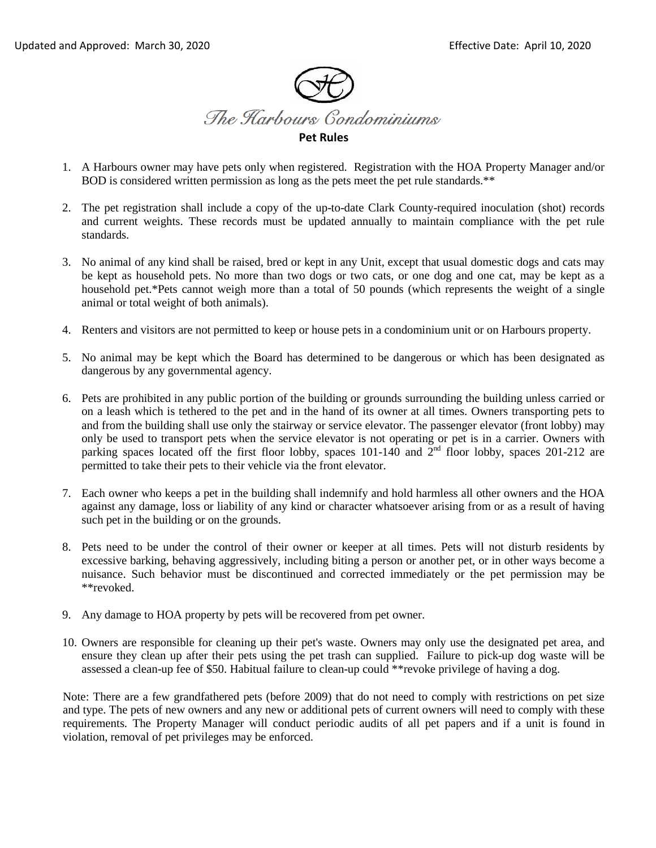

- 1. A Harbours owner may have pets only when registered. Registration with the HOA Property Manager and/or BOD is considered written permission as long as the pets meet the pet rule standards.\*\*
- 2. The pet registration shall include a copy of the up-to-date Clark County-required inoculation (shot) records and current weights. These records must be updated annually to maintain compliance with the pet rule standards.
- 3. No animal of any kind shall be raised, bred or kept in any Unit, except that usual domestic dogs and cats may be kept as household pets. No more than two dogs or two cats, or one dog and one cat, may be kept as a household pet.\*Pets cannot weigh more than a total of 50 pounds (which represents the weight of a single animal or total weight of both animals).
- 4. Renters and visitors are not permitted to keep or house pets in a condominium unit or on Harbours property.
- 5. No animal may be kept which the Board has determined to be dangerous or which has been designated as dangerous by any governmental agency.
- 6. Pets are prohibited in any public portion of the building or grounds surrounding the building unless carried or on a leash which is tethered to the pet and in the hand of its owner at all times. Owners transporting pets to and from the building shall use only the stairway or service elevator. The passenger elevator (front lobby) may only be used to transport pets when the service elevator is not operating or pet is in a carrier. Owners with parking spaces located off the first floor lobby, spaces  $101-140$  and  $2<sup>nd</sup>$  floor lobby, spaces  $201-212$  are permitted to take their pets to their vehicle via the front elevator.
- 7. Each owner who keeps a pet in the building shall indemnify and hold harmless all other owners and the HOA against any damage, loss or liability of any kind or character whatsoever arising from or as a result of having such pet in the building or on the grounds.
- 8. Pets need to be under the control of their owner or keeper at all times. Pets will not disturb residents by excessive barking, behaving aggressively, including biting a person or another pet, or in other ways become a nuisance. Such behavior must be discontinued and corrected immediately or the pet permission may be \*\*revoked.
- 9. Any damage to HOA property by pets will be recovered from pet owner.
- 10. Owners are responsible for cleaning up their pet's waste. Owners may only use the designated pet area, and ensure they clean up after their pets using the pet trash can supplied. Failure to pick-up dog waste will be assessed a clean-up fee of \$50. Habitual failure to clean-up could \*\*revoke privilege of having a dog.

Note: There are a few grandfathered pets (before 2009) that do not need to comply with restrictions on pet size and type. The pets of new owners and any new or additional pets of current owners will need to comply with these requirements. The Property Manager will conduct periodic audits of all pet papers and if a unit is found in violation, removal of pet privileges may be enforced.